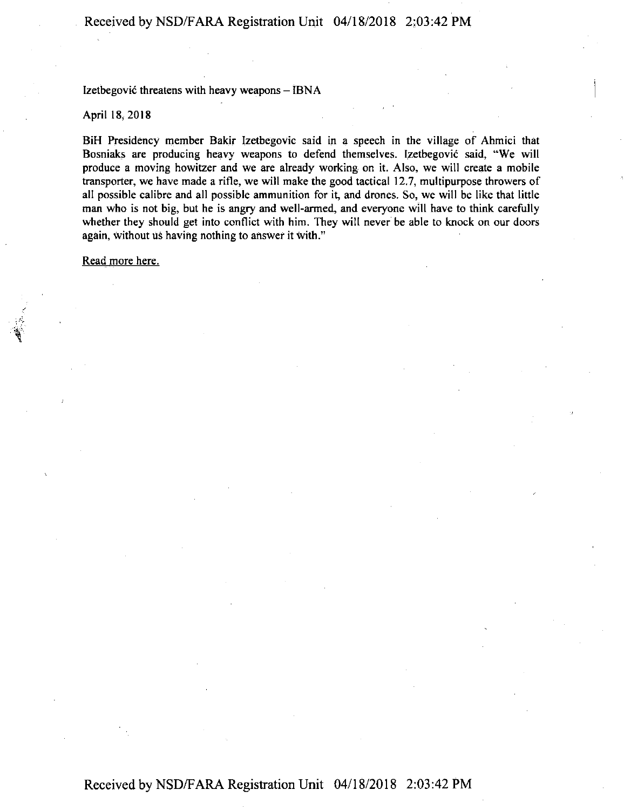Izetbegović threatens with heavy weapons  $-$  IBNA

April 18,2018

BiH Presidency member Bakir lzetbegovic said in a speech in the village of Ahmici that Bosniaks are producing heavy weapons to defend themselves. lzetbegovic said, "We will produce a moving howitzer and we are already working on it. Also, we will create a mobile transporter, we have made a rifle, we will make the good tactical 12.7, multipurpose throwers of all possible calibre and all possible ammunition for it, and drones. So, we will be like that little man who is not big, but he is angry and well-armed, and everyone will have to think carefully whether they should get into conflict with him. They will never be able to knock on our doors again, without us having nothing to answer it with."

Read more here.

## Received by NSD/FARA Registration Unit 04/18/2018 2:03:42 PM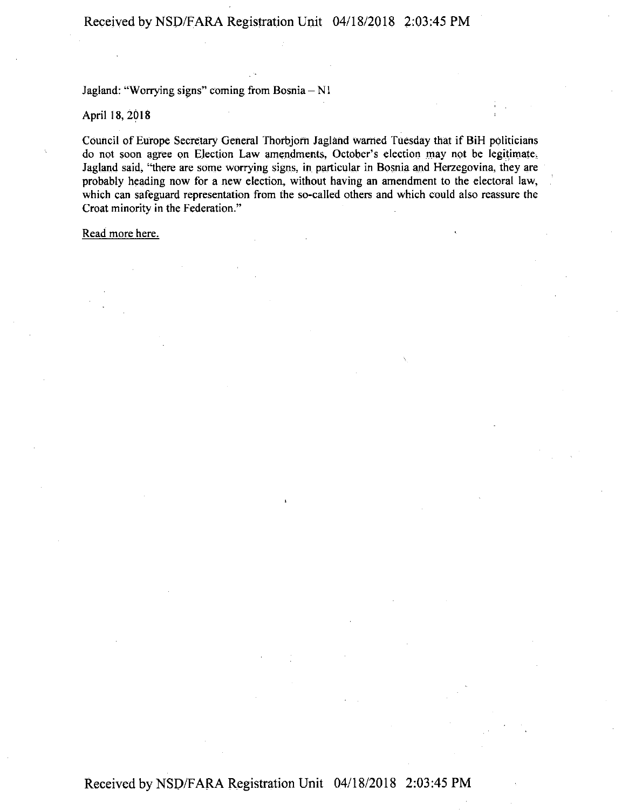Jagland: "Worrying signs" coming from Bosnia - N1

April 18, 2018

Council of Europe Secretary General Thorbjorn Jagland warned Tuesday that if BiH politicians do not soon agree on Election Law amendments, October's election may not be legitimate. Jagland said, "there are some worrying signs, in particular in Bosnia and Herzegovina, they are probably heading now for a new election, without having an amendment to the electoral law, which can safeguard representation from the so-called others and which could also reassure the Croat minority in the Federation."

Read more here.